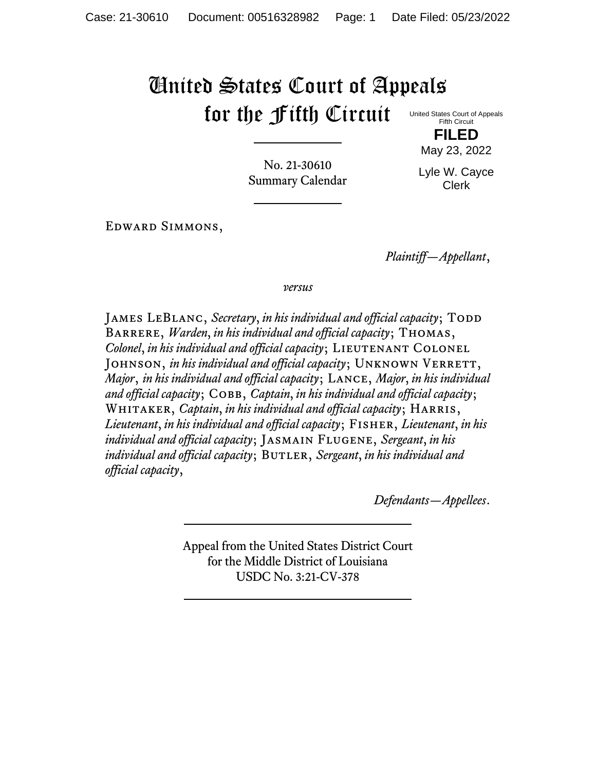## United States Court of Appeals for the Fifth Circuit

United States Court of Appeals Fifth Circuit **FILED**

No. 21-30610 Summary Calendar

Lyle W. Cayce Clerk

May 23, 2022

Edward Simmons,

*Plaintiff—Appellant*,

*versus*

JAMES LEBLANC, *Secretary*, *in his individual and official capacity*; TODD Barrere, *Warden*, *in his individual and official capacity*; Thomas, *Colonel, in his individual and official capacity*; LIEUTENANT COLONEL JOHNSON, *in his individual and official capacity*; UNKNOWN VERRETT, *Major*, *in his individual and official capacity*; Lance, *Major*, *in his individual and official capacity*; Cobb, *Captain*, *in his individual and official capacity*; Whitaker, *Captain*, *in his individual and official capacity*; Harris, *Lieutenant*, *in his individual and official capacity*; Fisher, *Lieutenant*, *in his individual and official capacity*; Jasmain Flugene, *Sergeant*, *in his individual and official capacity*; BUTLER, *Sergeant, in his individual and official capacity*,

*Defendants—Appellees*.

Appeal from the United States District Court for the Middle District of Louisiana USDC No. 3:21-CV-378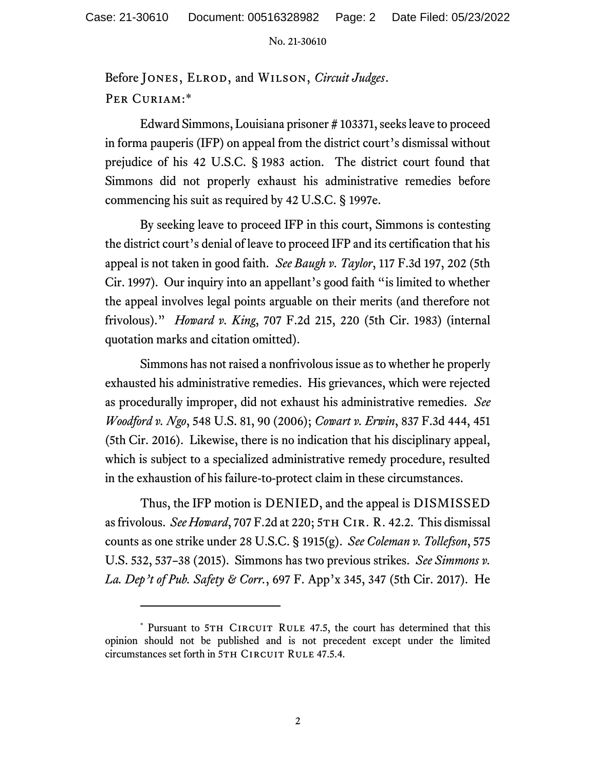No. 21-30610

Before Jones, Elrod, and Wilson, *Circuit Judges*. PER CURIAM:\*

Edward Simmons, Louisiana prisoner # 103371, seeks leave to proceed in forma pauperis (IFP) on appeal from the district court's dismissal without prejudice of his 42 U.S.C. § 1983 action. The district court found that Simmons did not properly exhaust his administrative remedies before commencing his suit as required by 42 U.S.C. § 1997e.

By seeking leave to proceed IFP in this court, Simmons is contesting the district court's denial of leave to proceed IFP and its certification that his appeal is not taken in good faith. *See Baugh v. Taylor*, 117 F.3d 197, 202 (5th Cir. 1997). Our inquiry into an appellant's good faith "is limited to whether the appeal involves legal points arguable on their merits (and therefore not frivolous)." *Howard v. King*, 707 F.2d 215, 220 (5th Cir. 1983) (internal quotation marks and citation omitted).

Simmons has not raised a nonfrivolous issue as to whether he properly exhausted his administrative remedies. His grievances, which were rejected as procedurally improper, did not exhaust his administrative remedies. *See Woodford v. Ngo*, 548 U.S. 81, 90 (2006); *Cowart v. Erwin*, 837 F.3d 444, 451 (5th Cir. 2016). Likewise, there is no indication that his disciplinary appeal, which is subject to a specialized administrative remedy procedure, resulted in the exhaustion of his failure-to-protect claim in these circumstances.

Thus, the IFP motion is DENIED, and the appeal is DISMISSED as frivolous. *See Howard*, 707 F.2d at 220; 5TH CIR. R. 42.2. This dismissal counts as one strike under 28 U.S.C. § 1915(g). *See Coleman v. Tollefson*, 575 U.S. 532, 537–38 (2015). Simmons has two previous strikes. *See Simmons v. La. Dep't of Pub. Safety & Corr.*, 697 F. App'x 345, 347 (5th Cir. 2017). He

<sup>\*</sup> Pursuant to 5TH CIRCUIT RULE 47.5, the court has determined that this opinion should not be published and is not precedent except under the limited circumstances set forth in 5TH CIRCUIT RULE 47.5.4.